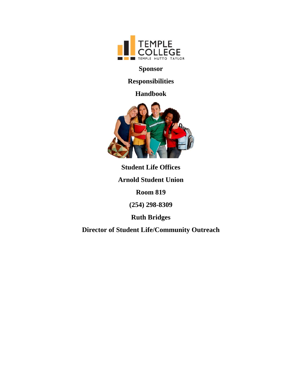

**Sponsor** 

**Responsibilities** 

**Handbook** 



**Student Life Offices** 

**Arnold Student Union** 

**Room 819** 

**(254) 298-8309** 

**Ruth Bridges** 

**Director of Student Life/Community Outreach**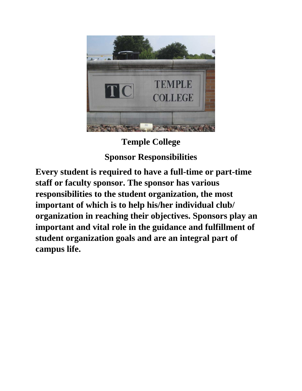

# **Temple College Sponsor Responsibilities**

**Every student is required to have a full-time or part-time staff or faculty sponsor. The sponsor has various responsibilities to the student organization, the most important of which is to help his/her individual club/ organization in reaching their objectives. Sponsors play an important and vital role in the guidance and fulfillment of student organization goals and are an integral part of campus life.**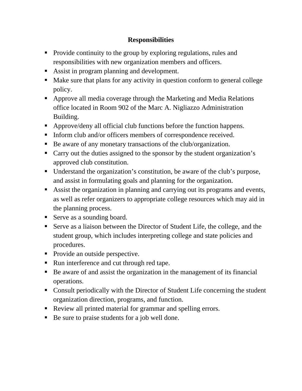## **Responsibilities**

- Provide continuity to the group by exploring regulations, rules and responsibilities with new organization members and officers.
- Assist in program planning and development.
- Make sure that plans for any activity in question conform to general college policy.
- Approve all media coverage through the Marketing and Media Relations office located in Room 902 of the Marc A. Nigliazzo Administration Building.
- Approve/deny all official club functions before the function happens.
- Inform club and/or officers members of correspondence received.
- Be aware of any monetary transactions of the club/organization.
- Carry out the duties assigned to the sponsor by the student organization's approved club constitution.
- Understand the organization's constitution, be aware of the club's purpose, and assist in formulating goals and planning for the organization.
- Assist the organization in planning and carrying out its programs and events, as well as refer organizers to appropriate college resources which may aid in the planning process.
- Serve as a sounding board.
- Serve as a liaison between the Director of Student Life, the college, and the student group, which includes interpreting college and state policies and procedures.
- Provide an outside perspective.
- Run interference and cut through red tape.
- Be aware of and assist the organization in the management of its financial operations.
- Consult periodically with the Director of Student Life concerning the student organization direction, programs, and function.
- Review all printed material for grammar and spelling errors.
- Be sure to praise students for a job well done.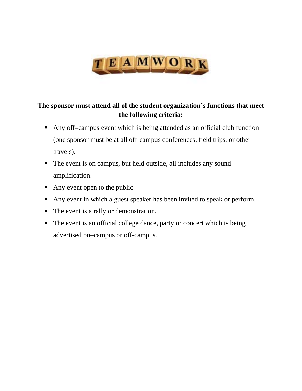

# **The sponsor must attend all of the student organization's functions that meet the following criteria:**

- Any off–campus event which is being attended as an official club function (one sponsor must be at all off-campus conferences, field trips, or other travels).
- The event is on campus, but held outside, all includes any sound amplification.
- Any event open to the public.
- Any event in which a guest speaker has been invited to speak or perform.
- The event is a rally or demonstration.
- The event is an official college dance, party or concert which is being advertised on–campus or off-campus.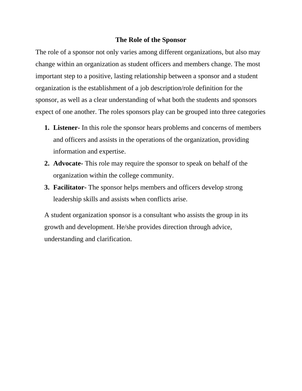#### **The Role of the Sponsor**

The role of a sponsor not only varies among different organizations, but also may change within an organization as student officers and members change. The most important step to a positive, lasting relationship between a sponsor and a student organization is the establishment of a job description/role definition for the sponsor, as well as a clear understanding of what both the students and sponsors expect of one another. The roles sponsors play can be grouped into three categories

- **1. Listener-** In this role the sponsor hears problems and concerns of members and officers and assists in the operations of the organization, providing information and expertise.
- **2. Advocate-** This role may require the sponsor to speak on behalf of the organization within the college community.
- **3. Facilitator-** The sponsor helps members and officers develop strong leadership skills and assists when conflicts arise.

A student organization sponsor is a consultant who assists the group in its growth and development. He/she provides direction through advice, understanding and clarification.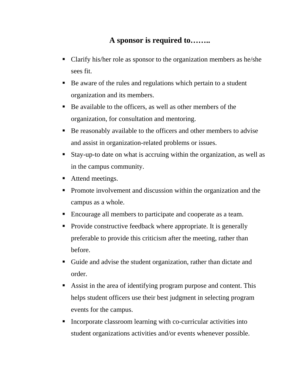# **A sponsor is required to……..**

- Clarify his/her role as sponsor to the organization members as he/she sees fit.
- Be aware of the rules and regulations which pertain to a student organization and its members.
- Be available to the officers, as well as other members of the organization, for consultation and mentoring.
- Be reasonably available to the officers and other members to advise and assist in organization-related problems or issues.
- Stay-up-to date on what is accruing within the organization, as well as in the campus community.
- Attend meetings.
- Promote involvement and discussion within the organization and the campus as a whole.
- Encourage all members to participate and cooperate as a team.
- Provide constructive feedback where appropriate. It is generally preferable to provide this criticism after the meeting, rather than before.
- Guide and advise the student organization, rather than dictate and order.
- Assist in the area of identifying program purpose and content. This helps student officers use their best judgment in selecting program events for the campus.
- Incorporate classroom learning with co-curricular activities into student organizations activities and/or events whenever possible.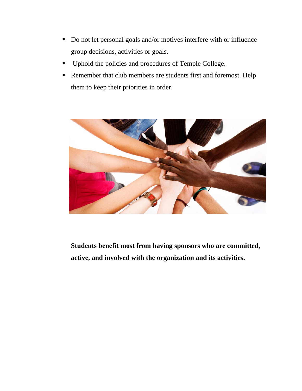- Do not let personal goals and/or motives interfere with or influence group decisions, activities or goals.
- **•** Uphold the policies and procedures of Temple College.
- Remember that club members are students first and foremost. Help them to keep their priorities in order.



**Students benefit most from having sponsors who are committed, active, and involved with the organization and its activities.**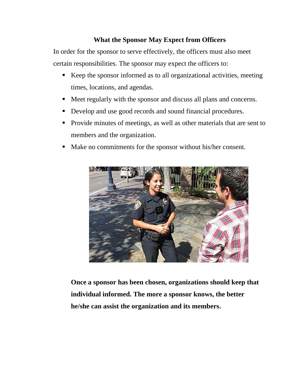## **What the Sponsor May Expect from Officers**

In order for the sponsor to serve effectively, the officers must also meet certain responsibilities. The sponsor may expect the officers to:

- Keep the sponsor informed as to all organizational activities, meeting times, locations, and agendas.
- Meet regularly with the sponsor and discuss all plans and concerns.
- Develop and use good records and sound financial procedures.
- Provide minutes of meetings, as well as other materials that are sent to members and the organization.
- Make no commitments for the sponsor without his/her consent.



**Once a sponsor has been chosen, organizations should keep that individual informed. The more a sponsor knows, the better he/she can assist the organization and its members.**